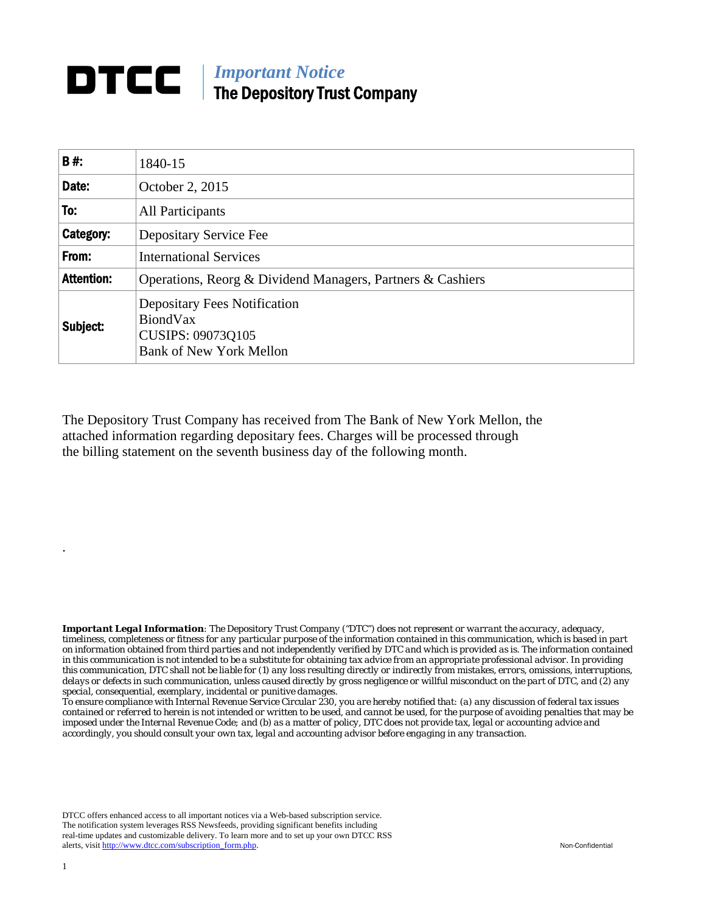## **DTCC** | *Important Notice* The Depository Trust Company

| B#:               | 1840-15                                                                                                       |
|-------------------|---------------------------------------------------------------------------------------------------------------|
| Date:             | October 2, 2015                                                                                               |
| To:               | All Participants                                                                                              |
| Category:         | Depositary Service Fee                                                                                        |
| From:             | <b>International Services</b>                                                                                 |
| <b>Attention:</b> | Operations, Reorg & Dividend Managers, Partners & Cashiers                                                    |
| Subject:          | <b>Depositary Fees Notification</b><br>BiondVax<br><b>CUSIPS: 09073Q105</b><br><b>Bank of New York Mellon</b> |

The Depository Trust Company has received from The Bank of New York Mellon, the attached information regarding depositary fees. Charges will be processed through the billing statement on the seventh business day of the following month.

*Important Legal Information: The Depository Trust Company ("DTC") does not represent or warrant the accuracy, adequacy, timeliness, completeness or fitness for any particular purpose of the information contained in this communication, which is based in part on information obtained from third parties and not independently verified by DTC and which is provided as is. The information contained in this communication is not intended to be a substitute for obtaining tax advice from an appropriate professional advisor. In providing this communication, DTC shall not be liable for (1) any loss resulting directly or indirectly from mistakes, errors, omissions, interruptions, delays or defects in such communication, unless caused directly by gross negligence or willful misconduct on the part of DTC, and (2) any special, consequential, exemplary, incidental or punitive damages.* 

*To ensure compliance with Internal Revenue Service Circular 230, you are hereby notified that: (a) any discussion of federal tax issues contained or referred to herein is not intended or written to be used, and cannot be used, for the purpose of avoiding penalties that may be imposed under the Internal Revenue Code; and (b) as a matter of policy, DTC does not provide tax, legal or accounting advice and accordingly, you should consult your own tax, legal and accounting advisor before engaging in any transaction.*

DTCC offers enhanced access to all important notices via a Web-based subscription service. The notification system leverages RSS Newsfeeds, providing significant benefits including real-time updates and customizable delivery. To learn more and to set up your own DTCC RSS alerts, visit http://www.dtcc.com/subscription\_form.php. Non-Confidential

.